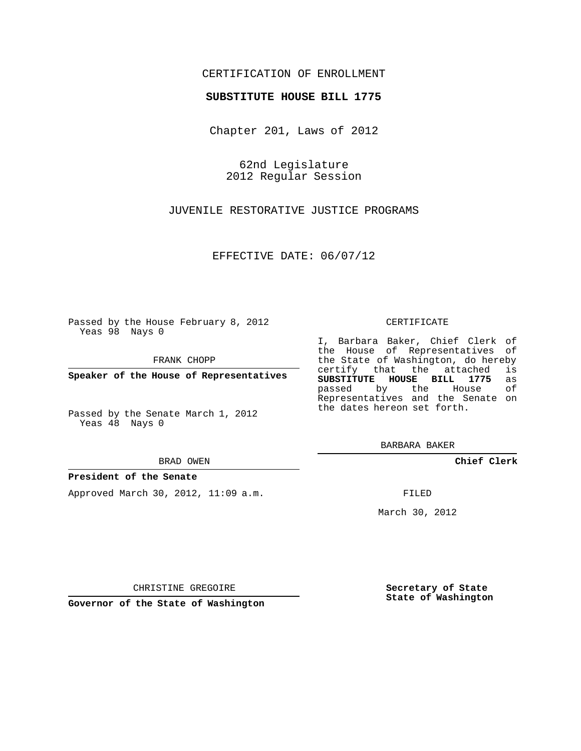### CERTIFICATION OF ENROLLMENT

#### **SUBSTITUTE HOUSE BILL 1775**

Chapter 201, Laws of 2012

62nd Legislature 2012 Regular Session

JUVENILE RESTORATIVE JUSTICE PROGRAMS

EFFECTIVE DATE: 06/07/12

Passed by the House February 8, 2012 Yeas 98 Nays 0

FRANK CHOPP

**Speaker of the House of Representatives**

Passed by the Senate March 1, 2012 Yeas 48 Nays 0

BRAD OWEN

#### **President of the Senate**

Approved March 30, 2012, 11:09 a.m.

#### CERTIFICATE

I, Barbara Baker, Chief Clerk of the House of Representatives of the State of Washington, do hereby<br>certify that the attached is certify that the attached **SUBSTITUTE HOUSE BILL 1775** as passed by the House of Representatives and the Senate on the dates hereon set forth.

BARBARA BAKER

**Chief Clerk**

FILED

March 30, 2012

**Secretary of State State of Washington**

CHRISTINE GREGOIRE

**Governor of the State of Washington**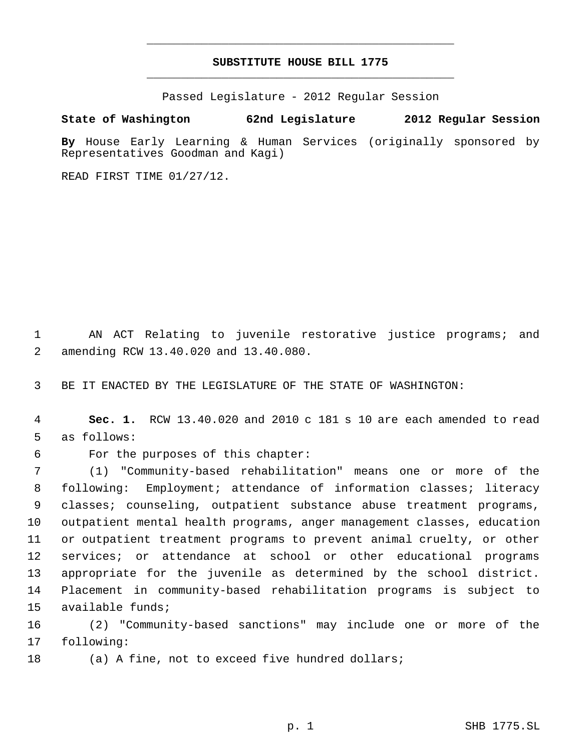# **SUBSTITUTE HOUSE BILL 1775** \_\_\_\_\_\_\_\_\_\_\_\_\_\_\_\_\_\_\_\_\_\_\_\_\_\_\_\_\_\_\_\_\_\_\_\_\_\_\_\_\_\_\_\_\_

\_\_\_\_\_\_\_\_\_\_\_\_\_\_\_\_\_\_\_\_\_\_\_\_\_\_\_\_\_\_\_\_\_\_\_\_\_\_\_\_\_\_\_\_\_

Passed Legislature - 2012 Regular Session

## **State of Washington 62nd Legislature 2012 Regular Session**

**By** House Early Learning & Human Services (originally sponsored by Representatives Goodman and Kagi)

READ FIRST TIME 01/27/12.

 AN ACT Relating to juvenile restorative justice programs; and amending RCW 13.40.020 and 13.40.080.

BE IT ENACTED BY THE LEGISLATURE OF THE STATE OF WASHINGTON:

 **Sec. 1.** RCW 13.40.020 and 2010 c 181 s 10 are each amended to read as follows:

For the purposes of this chapter:

 (1) "Community-based rehabilitation" means one or more of the following: Employment; attendance of information classes; literacy classes; counseling, outpatient substance abuse treatment programs, outpatient mental health programs, anger management classes, education or outpatient treatment programs to prevent animal cruelty, or other services; or attendance at school or other educational programs appropriate for the juvenile as determined by the school district. Placement in community-based rehabilitation programs is subject to available funds;

 (2) "Community-based sanctions" may include one or more of the following:

18 (a) A fine, not to exceed five hundred dollars;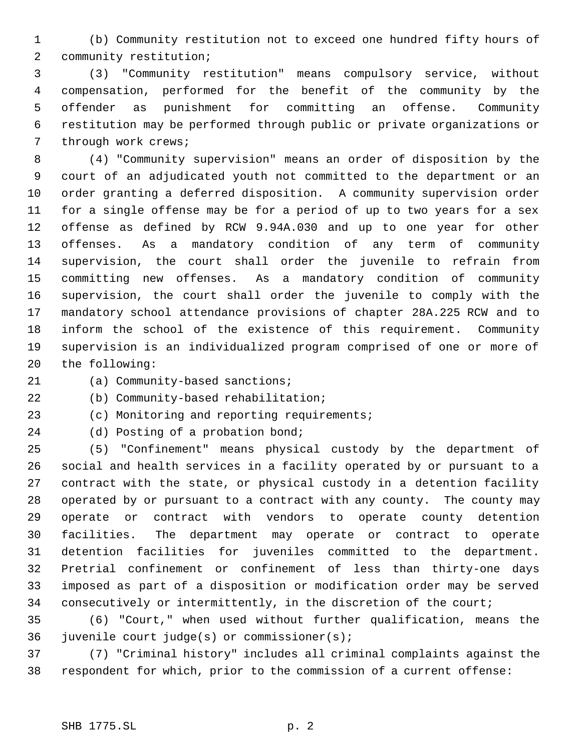(b) Community restitution not to exceed one hundred fifty hours of community restitution;

 (3) "Community restitution" means compulsory service, without compensation, performed for the benefit of the community by the offender as punishment for committing an offense. Community restitution may be performed through public or private organizations or through work crews;

 (4) "Community supervision" means an order of disposition by the court of an adjudicated youth not committed to the department or an order granting a deferred disposition. A community supervision order for a single offense may be for a period of up to two years for a sex offense as defined by RCW 9.94A.030 and up to one year for other offenses. As a mandatory condition of any term of community supervision, the court shall order the juvenile to refrain from committing new offenses. As a mandatory condition of community supervision, the court shall order the juvenile to comply with the mandatory school attendance provisions of chapter 28A.225 RCW and to inform the school of the existence of this requirement. Community supervision is an individualized program comprised of one or more of the following:

- 21 (a) Community-based sanctions;
- (b) Community-based rehabilitation;
- (c) Monitoring and reporting requirements;
- (d) Posting of a probation bond;

 (5) "Confinement" means physical custody by the department of social and health services in a facility operated by or pursuant to a contract with the state, or physical custody in a detention facility operated by or pursuant to a contract with any county. The county may operate or contract with vendors to operate county detention facilities. The department may operate or contract to operate detention facilities for juveniles committed to the department. Pretrial confinement or confinement of less than thirty-one days imposed as part of a disposition or modification order may be served 34 consecutively or intermittently, in the discretion of the court;

 (6) "Court," when used without further qualification, means the juvenile court judge(s) or commissioner(s);

 (7) "Criminal history" includes all criminal complaints against the respondent for which, prior to the commission of a current offense: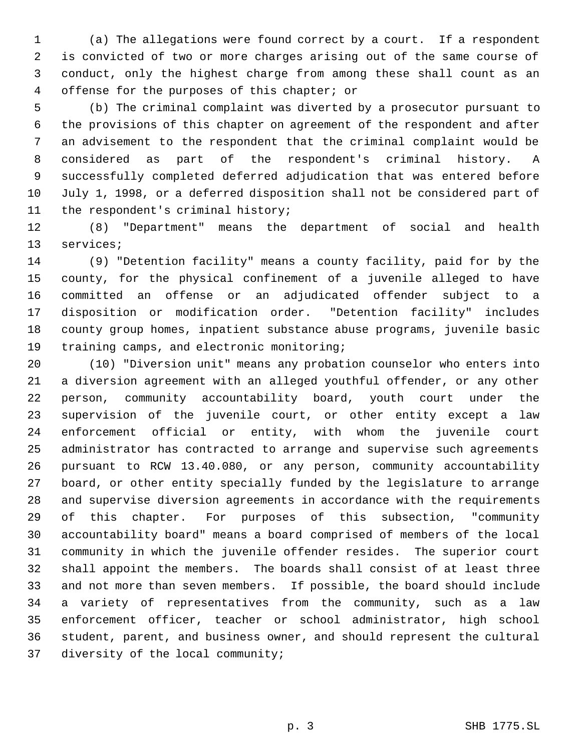(a) The allegations were found correct by a court. If a respondent is convicted of two or more charges arising out of the same course of conduct, only the highest charge from among these shall count as an offense for the purposes of this chapter; or

 (b) The criminal complaint was diverted by a prosecutor pursuant to the provisions of this chapter on agreement of the respondent and after an advisement to the respondent that the criminal complaint would be considered as part of the respondent's criminal history. A successfully completed deferred adjudication that was entered before July 1, 1998, or a deferred disposition shall not be considered part of the respondent's criminal history;

 (8) "Department" means the department of social and health services;

 (9) "Detention facility" means a county facility, paid for by the county, for the physical confinement of a juvenile alleged to have committed an offense or an adjudicated offender subject to a disposition or modification order. "Detention facility" includes county group homes, inpatient substance abuse programs, juvenile basic training camps, and electronic monitoring;

 (10) "Diversion unit" means any probation counselor who enters into a diversion agreement with an alleged youthful offender, or any other person, community accountability board, youth court under the supervision of the juvenile court, or other entity except a law enforcement official or entity, with whom the juvenile court administrator has contracted to arrange and supervise such agreements pursuant to RCW 13.40.080, or any person, community accountability board, or other entity specially funded by the legislature to arrange and supervise diversion agreements in accordance with the requirements of this chapter. For purposes of this subsection, "community accountability board" means a board comprised of members of the local community in which the juvenile offender resides. The superior court shall appoint the members. The boards shall consist of at least three and not more than seven members. If possible, the board should include a variety of representatives from the community, such as a law enforcement officer, teacher or school administrator, high school student, parent, and business owner, and should represent the cultural diversity of the local community;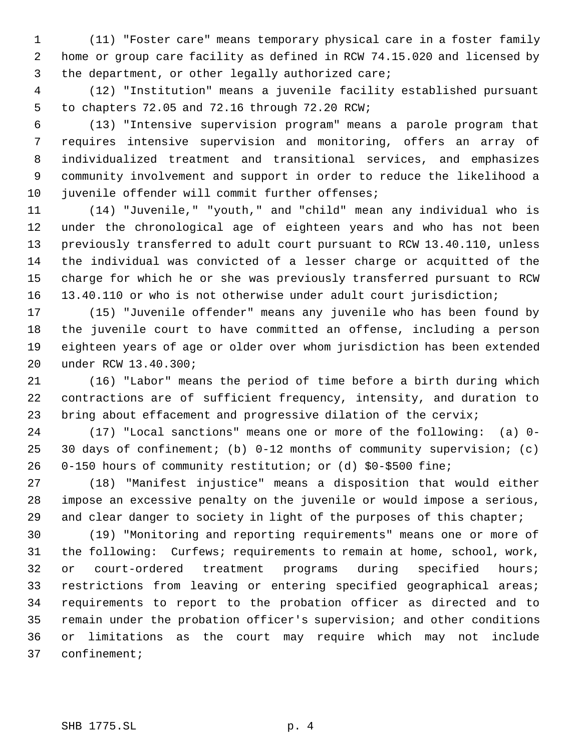(11) "Foster care" means temporary physical care in a foster family home or group care facility as defined in RCW 74.15.020 and licensed by the department, or other legally authorized care;

 (12) "Institution" means a juvenile facility established pursuant to chapters 72.05 and 72.16 through 72.20 RCW;

 (13) "Intensive supervision program" means a parole program that requires intensive supervision and monitoring, offers an array of individualized treatment and transitional services, and emphasizes community involvement and support in order to reduce the likelihood a 10 juvenile offender will commit further offenses;

 (14) "Juvenile," "youth," and "child" mean any individual who is under the chronological age of eighteen years and who has not been previously transferred to adult court pursuant to RCW 13.40.110, unless the individual was convicted of a lesser charge or acquitted of the charge for which he or she was previously transferred pursuant to RCW 13.40.110 or who is not otherwise under adult court jurisdiction;

 (15) "Juvenile offender" means any juvenile who has been found by the juvenile court to have committed an offense, including a person eighteen years of age or older over whom jurisdiction has been extended under RCW 13.40.300;

 (16) "Labor" means the period of time before a birth during which contractions are of sufficient frequency, intensity, and duration to bring about effacement and progressive dilation of the cervix;

 (17) "Local sanctions" means one or more of the following: (a) 0- 30 days of confinement; (b) 0-12 months of community supervision; (c) 0-150 hours of community restitution; or (d) \$0-\$500 fine;

 (18) "Manifest injustice" means a disposition that would either impose an excessive penalty on the juvenile or would impose a serious, 29 and clear danger to society in light of the purposes of this chapter;

 (19) "Monitoring and reporting requirements" means one or more of the following: Curfews; requirements to remain at home, school, work, 32 or court-ordered treatment programs during specified hours; restrictions from leaving or entering specified geographical areas; requirements to report to the probation officer as directed and to remain under the probation officer's supervision; and other conditions or limitations as the court may require which may not include confinement;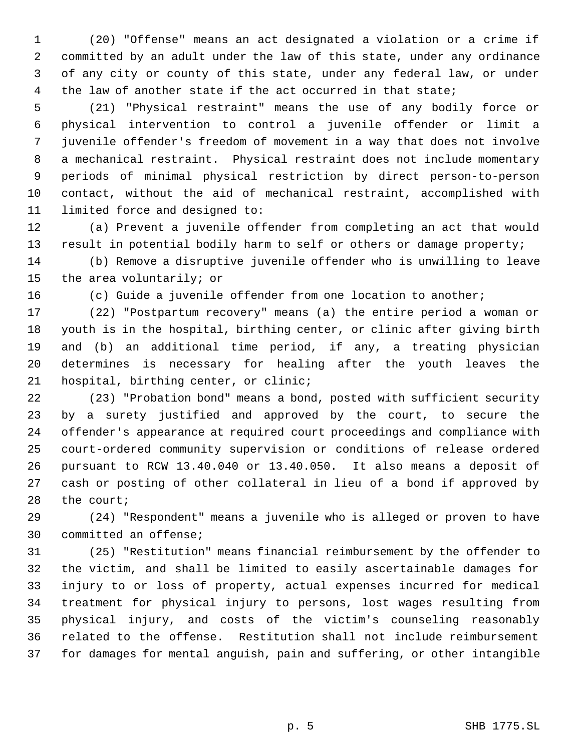(20) "Offense" means an act designated a violation or a crime if committed by an adult under the law of this state, under any ordinance of any city or county of this state, under any federal law, or under 4 the law of another state if the act occurred in that state;

 (21) "Physical restraint" means the use of any bodily force or physical intervention to control a juvenile offender or limit a juvenile offender's freedom of movement in a way that does not involve a mechanical restraint. Physical restraint does not include momentary periods of minimal physical restriction by direct person-to-person contact, without the aid of mechanical restraint, accomplished with limited force and designed to:

 (a) Prevent a juvenile offender from completing an act that would 13 result in potential bodily harm to self or others or damage property;

 (b) Remove a disruptive juvenile offender who is unwilling to leave the area voluntarily; or

(c) Guide a juvenile offender from one location to another;

 (22) "Postpartum recovery" means (a) the entire period a woman or youth is in the hospital, birthing center, or clinic after giving birth and (b) an additional time period, if any, a treating physician determines is necessary for healing after the youth leaves the hospital, birthing center, or clinic;

 (23) "Probation bond" means a bond, posted with sufficient security by a surety justified and approved by the court, to secure the offender's appearance at required court proceedings and compliance with court-ordered community supervision or conditions of release ordered pursuant to RCW 13.40.040 or 13.40.050. It also means a deposit of cash or posting of other collateral in lieu of a bond if approved by the court;

 (24) "Respondent" means a juvenile who is alleged or proven to have committed an offense;

 (25) "Restitution" means financial reimbursement by the offender to the victim, and shall be limited to easily ascertainable damages for injury to or loss of property, actual expenses incurred for medical treatment for physical injury to persons, lost wages resulting from physical injury, and costs of the victim's counseling reasonably related to the offense. Restitution shall not include reimbursement for damages for mental anguish, pain and suffering, or other intangible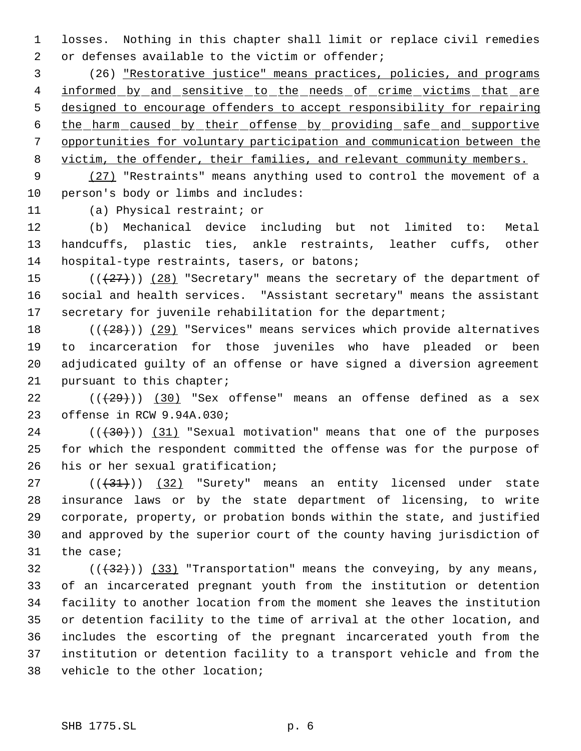losses. Nothing in this chapter shall limit or replace civil remedies 2 or defenses available to the victim or offender;

 (26) "Restorative justice" means practices, policies, and programs 4 informed by and sensitive to the needs of crime victims that are designed to encourage offenders to accept responsibility for repairing the harm caused by their offense by providing safe and supportive opportunities for voluntary participation and communication between the victim, the offender, their families, and relevant community members.

9 (27) "Restraints" means anything used to control the movement of a person's body or limbs and includes:

(a) Physical restraint; or

 (b) Mechanical device including but not limited to: Metal handcuffs, plastic ties, ankle restraints, leather cuffs, other 14 hospital-type restraints, tasers, or batons;

15  $((+27))$   $(28)$  "Secretary" means the secretary of the department of social and health services. "Assistant secretary" means the assistant secretary for juvenile rehabilitation for the department;

 $((+28))$   $(29)$  "Services" means services which provide alternatives to incarceration for those juveniles who have pleaded or been adjudicated guilty of an offense or have signed a diversion agreement 21 pursuant to this chapter;

 ( $(\frac{29}{1})$ )  $(30)$  "Sex offense" means an offense defined as a sex offense in RCW 9.94A.030;

 ( $(\overline{30})$ )  $(31)$  "Sexual motivation" means that one of the purposes for which the respondent committed the offense was for the purpose of his or her sexual gratification;

27 (( $(31)$ )) (32) "Surety" means an entity licensed under state insurance laws or by the state department of licensing, to write corporate, property, or probation bonds within the state, and justified and approved by the superior court of the county having jurisdiction of the case;

 $((+32))$   $(33)$  "Transportation" means the conveying, by any means, of an incarcerated pregnant youth from the institution or detention facility to another location from the moment she leaves the institution or detention facility to the time of arrival at the other location, and includes the escorting of the pregnant incarcerated youth from the institution or detention facility to a transport vehicle and from the vehicle to the other location;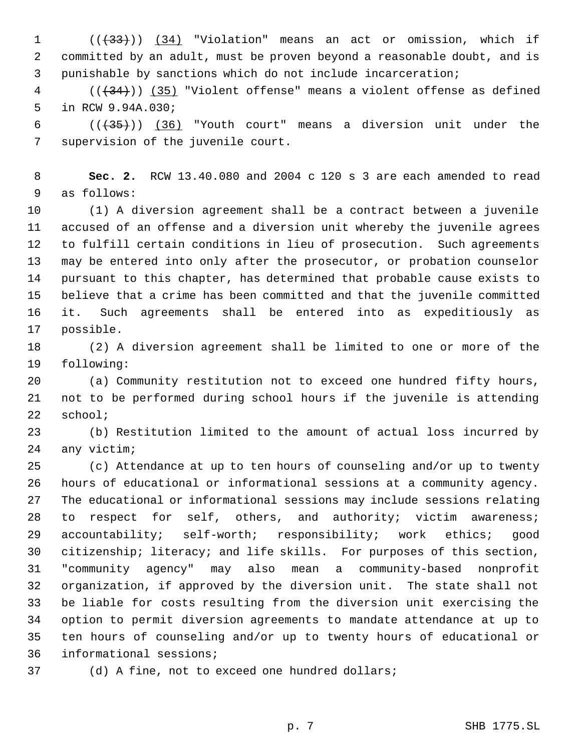1 (( $\left(\frac{33}{1}\right)$ ) (34) "Violation" means an act or omission, which if committed by an adult, must be proven beyond a reasonable doubt, and is punishable by sanctions which do not include incarceration;

4 (( $(34)$ )) (35) "Violent offense" means a violent offense as defined in RCW 9.94A.030;

 $((+35))$   $(36)$  "Youth court" means a diversion unit under the supervision of the juvenile court.

 **Sec. 2.** RCW 13.40.080 and 2004 c 120 s 3 are each amended to read as follows:

 (1) A diversion agreement shall be a contract between a juvenile accused of an offense and a diversion unit whereby the juvenile agrees to fulfill certain conditions in lieu of prosecution. Such agreements may be entered into only after the prosecutor, or probation counselor pursuant to this chapter, has determined that probable cause exists to believe that a crime has been committed and that the juvenile committed it. Such agreements shall be entered into as expeditiously as possible.

 (2) A diversion agreement shall be limited to one or more of the following:

 (a) Community restitution not to exceed one hundred fifty hours, not to be performed during school hours if the juvenile is attending school;

 (b) Restitution limited to the amount of actual loss incurred by any victim;

 (c) Attendance at up to ten hours of counseling and/or up to twenty hours of educational or informational sessions at a community agency. The educational or informational sessions may include sessions relating to respect for self, others, and authority; victim awareness; accountability; self-worth; responsibility; work ethics; good citizenship; literacy; and life skills. For purposes of this section, "community agency" may also mean a community-based nonprofit organization, if approved by the diversion unit. The state shall not be liable for costs resulting from the diversion unit exercising the option to permit diversion agreements to mandate attendance at up to ten hours of counseling and/or up to twenty hours of educational or informational sessions;

- 
- (d) A fine, not to exceed one hundred dollars;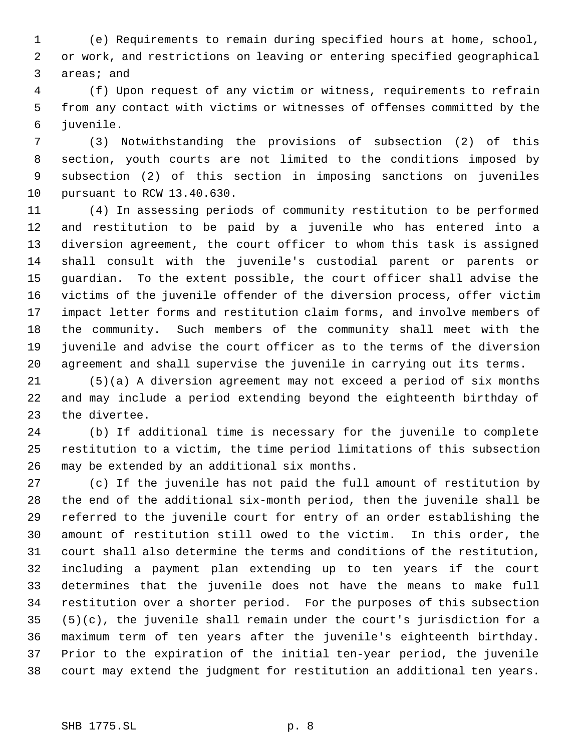(e) Requirements to remain during specified hours at home, school, or work, and restrictions on leaving or entering specified geographical areas; and

 (f) Upon request of any victim or witness, requirements to refrain from any contact with victims or witnesses of offenses committed by the juvenile.

 (3) Notwithstanding the provisions of subsection (2) of this section, youth courts are not limited to the conditions imposed by subsection (2) of this section in imposing sanctions on juveniles pursuant to RCW 13.40.630.

 (4) In assessing periods of community restitution to be performed and restitution to be paid by a juvenile who has entered into a diversion agreement, the court officer to whom this task is assigned shall consult with the juvenile's custodial parent or parents or guardian. To the extent possible, the court officer shall advise the victims of the juvenile offender of the diversion process, offer victim impact letter forms and restitution claim forms, and involve members of the community. Such members of the community shall meet with the juvenile and advise the court officer as to the terms of the diversion agreement and shall supervise the juvenile in carrying out its terms.

 (5)(a) A diversion agreement may not exceed a period of six months and may include a period extending beyond the eighteenth birthday of the divertee.

 (b) If additional time is necessary for the juvenile to complete restitution to a victim, the time period limitations of this subsection may be extended by an additional six months.

 (c) If the juvenile has not paid the full amount of restitution by the end of the additional six-month period, then the juvenile shall be referred to the juvenile court for entry of an order establishing the amount of restitution still owed to the victim. In this order, the court shall also determine the terms and conditions of the restitution, including a payment plan extending up to ten years if the court determines that the juvenile does not have the means to make full restitution over a shorter period. For the purposes of this subsection (5)(c), the juvenile shall remain under the court's jurisdiction for a maximum term of ten years after the juvenile's eighteenth birthday. Prior to the expiration of the initial ten-year period, the juvenile court may extend the judgment for restitution an additional ten years.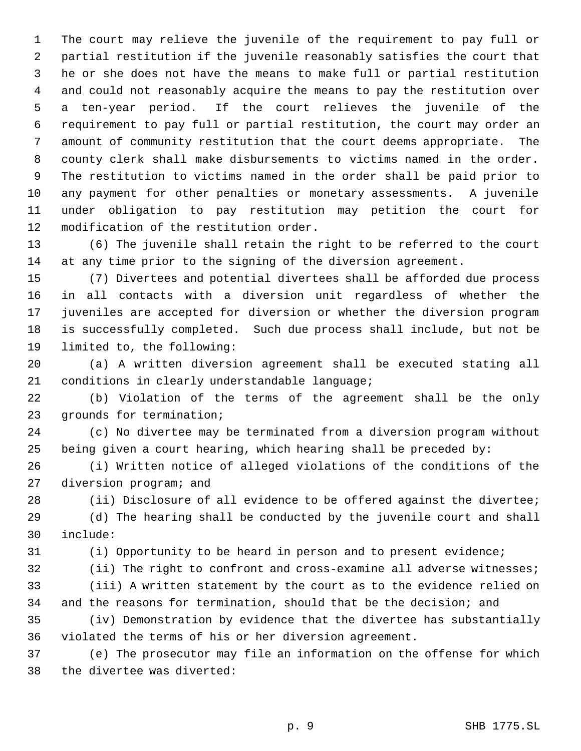The court may relieve the juvenile of the requirement to pay full or partial restitution if the juvenile reasonably satisfies the court that he or she does not have the means to make full or partial restitution and could not reasonably acquire the means to pay the restitution over a ten-year period. If the court relieves the juvenile of the requirement to pay full or partial restitution, the court may order an amount of community restitution that the court deems appropriate. The county clerk shall make disbursements to victims named in the order. The restitution to victims named in the order shall be paid prior to any payment for other penalties or monetary assessments. A juvenile under obligation to pay restitution may petition the court for modification of the restitution order.

 (6) The juvenile shall retain the right to be referred to the court at any time prior to the signing of the diversion agreement.

 (7) Divertees and potential divertees shall be afforded due process in all contacts with a diversion unit regardless of whether the juveniles are accepted for diversion or whether the diversion program is successfully completed. Such due process shall include, but not be limited to, the following:

 (a) A written diversion agreement shall be executed stating all conditions in clearly understandable language;

 (b) Violation of the terms of the agreement shall be the only grounds for termination;

 (c) No divertee may be terminated from a diversion program without being given a court hearing, which hearing shall be preceded by:

 (i) Written notice of alleged violations of the conditions of the diversion program; and

28 (ii) Disclosure of all evidence to be offered against the divertee; (d) The hearing shall be conducted by the juvenile court and shall include:

(i) Opportunity to be heard in person and to present evidence;

(ii) The right to confront and cross-examine all adverse witnesses;

 (iii) A written statement by the court as to the evidence relied on and the reasons for termination, should that be the decision; and

 (iv) Demonstration by evidence that the divertee has substantially violated the terms of his or her diversion agreement.

 (e) The prosecutor may file an information on the offense for which the divertee was diverted: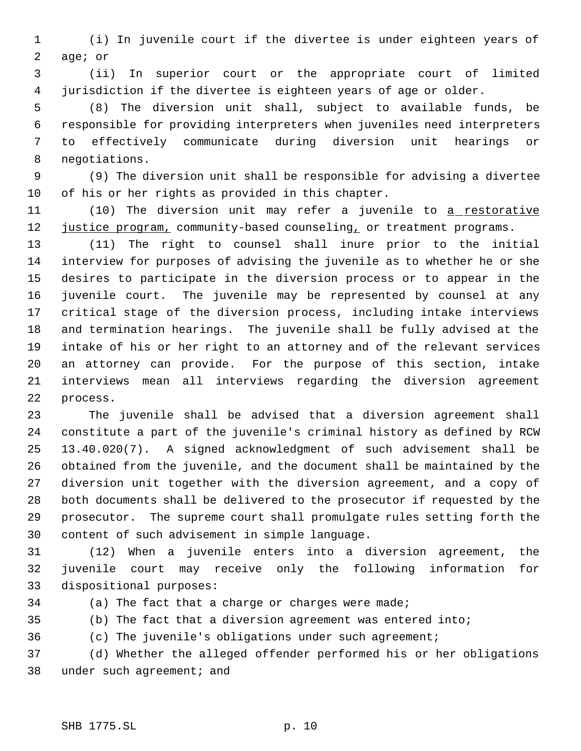(i) In juvenile court if the divertee is under eighteen years of age; or

 (ii) In superior court or the appropriate court of limited jurisdiction if the divertee is eighteen years of age or older.

 (8) The diversion unit shall, subject to available funds, be responsible for providing interpreters when juveniles need interpreters to effectively communicate during diversion unit hearings or negotiations.

 (9) The diversion unit shall be responsible for advising a divertee of his or her rights as provided in this chapter.

11 (10) The diversion unit may refer a juvenile to a restorative 12 justice program, community-based counseling, or treatment programs.

 (11) The right to counsel shall inure prior to the initial interview for purposes of advising the juvenile as to whether he or she desires to participate in the diversion process or to appear in the juvenile court. The juvenile may be represented by counsel at any critical stage of the diversion process, including intake interviews and termination hearings. The juvenile shall be fully advised at the intake of his or her right to an attorney and of the relevant services an attorney can provide. For the purpose of this section, intake interviews mean all interviews regarding the diversion agreement process.

 The juvenile shall be advised that a diversion agreement shall constitute a part of the juvenile's criminal history as defined by RCW 13.40.020(7). A signed acknowledgment of such advisement shall be obtained from the juvenile, and the document shall be maintained by the diversion unit together with the diversion agreement, and a copy of both documents shall be delivered to the prosecutor if requested by the prosecutor. The supreme court shall promulgate rules setting forth the content of such advisement in simple language.

 (12) When a juvenile enters into a diversion agreement, the juvenile court may receive only the following information for dispositional purposes:

(a) The fact that a charge or charges were made;

(b) The fact that a diversion agreement was entered into;

(c) The juvenile's obligations under such agreement;

 (d) Whether the alleged offender performed his or her obligations 38 under such agreement; and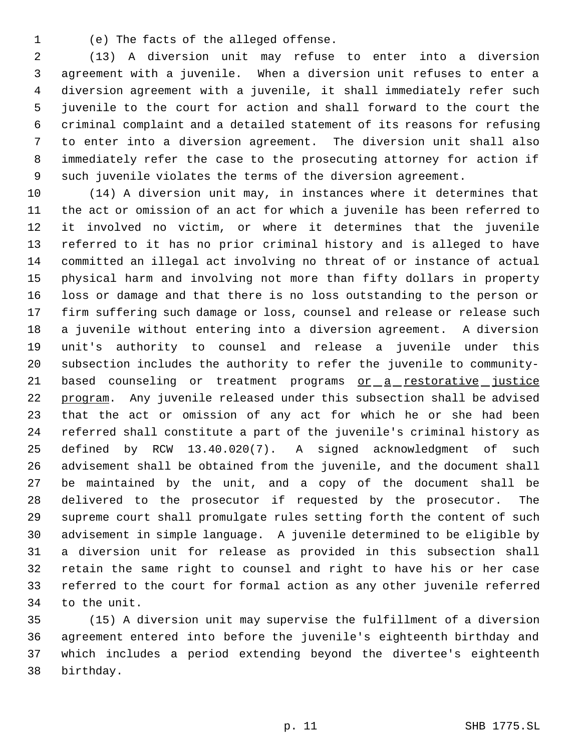(e) The facts of the alleged offense.

 (13) A diversion unit may refuse to enter into a diversion agreement with a juvenile. When a diversion unit refuses to enter a diversion agreement with a juvenile, it shall immediately refer such juvenile to the court for action and shall forward to the court the criminal complaint and a detailed statement of its reasons for refusing to enter into a diversion agreement. The diversion unit shall also immediately refer the case to the prosecuting attorney for action if such juvenile violates the terms of the diversion agreement.

 (14) A diversion unit may, in instances where it determines that the act or omission of an act for which a juvenile has been referred to it involved no victim, or where it determines that the juvenile referred to it has no prior criminal history and is alleged to have committed an illegal act involving no threat of or instance of actual physical harm and involving not more than fifty dollars in property loss or damage and that there is no loss outstanding to the person or firm suffering such damage or loss, counsel and release or release such a juvenile without entering into a diversion agreement. A diversion unit's authority to counsel and release a juvenile under this subsection includes the authority to refer the juvenile to community-21 based counseling or treatment programs or a restorative justice program. Any juvenile released under this subsection shall be advised that the act or omission of any act for which he or she had been referred shall constitute a part of the juvenile's criminal history as defined by RCW 13.40.020(7). A signed acknowledgment of such advisement shall be obtained from the juvenile, and the document shall be maintained by the unit, and a copy of the document shall be delivered to the prosecutor if requested by the prosecutor. The supreme court shall promulgate rules setting forth the content of such advisement in simple language. A juvenile determined to be eligible by a diversion unit for release as provided in this subsection shall retain the same right to counsel and right to have his or her case referred to the court for formal action as any other juvenile referred to the unit.

 (15) A diversion unit may supervise the fulfillment of a diversion agreement entered into before the juvenile's eighteenth birthday and which includes a period extending beyond the divertee's eighteenth birthday.